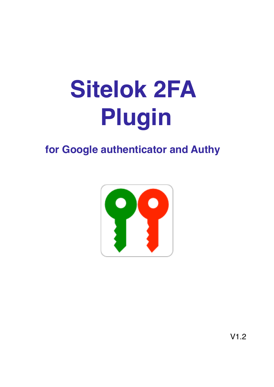# **Sitelok 2FA Plugin**

# for Google authenticator and Authy

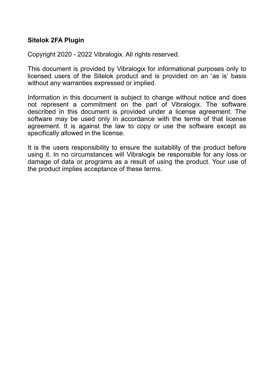#### **Sitelok 2FA Plugin**

Copyright 2020 - 2022 Vibralogix. All rights reserved.

This document is provided by Vibralogix for informational purposes only to licensed users of the Sitelok product and is provided on an 'as is' basis without any warranties expressed or implied.

Information in this document is subject to change without notice and does not represent a commitment on the part of Vibralogix. The software described in this document is provided under a license agreement. The software may be used only in accordance with the terms of that license agreement. It is against the law to copy or use the software except as specifically allowed in the license.

It is the users responsibility to ensure the suitability of the product before using it. In no circumstances will Vibralogix be responsible for any loss or damage of data or programs as a result of using the product. Your use of the product implies acceptance of these terms.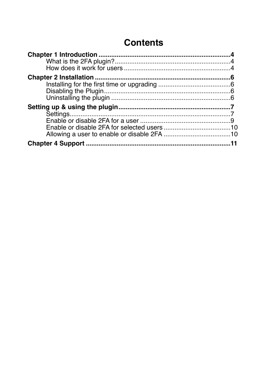# **Contents**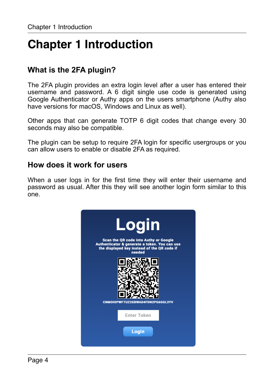# <span id="page-3-0"></span>**Chapter 1 Introduction**

# <span id="page-3-1"></span>**What is the 2FA plugin?**

The 2FA plugin provides an extra login level after a user has entered their username and password. A 6 digit single use code is generated using Google Authenticator or Authy apps on the users smartphone (Authy also have versions for macOS, Windows and Linux as well).

Other apps that can generate TOTP 6 digit codes that change every 30 seconds may also be compatible.

The plugin can be setup to require 2FA login for specific usergroups or you can allow users to enable or disable 2FA as required.

### <span id="page-3-2"></span>**How does it work for users**

When a user logs in for the first time they will enter their username and password as usual. After this they will see another login form similar to this one.

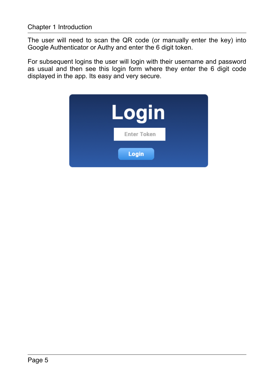The user will need to scan the QR code (or manually enter the key) into Google Authenticator or Authy and enter the 6 digit token.

For subsequent logins the user will login with their username and password as usual and then see this login form where they enter the 6 digit code displayed in the app. Its easy and very secure.

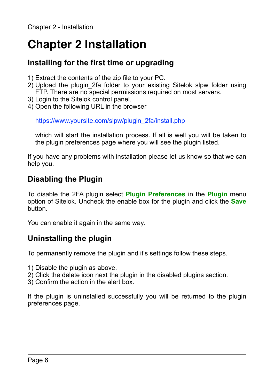# <span id="page-5-0"></span>**Chapter 2 Installation**

# <span id="page-5-1"></span>**Installing for the first time or upgrading**

- 1) Extract the contents of the zip file to your PC.
- 2) Upload the plugin\_2fa folder to your existing Sitelok slpw folder using FTP. There are no special permissions required on most servers.
- 3) Login to the Sitelok control panel.
- 4) Open the following URL in the browser

https://www.yoursite.com/slpw/plugin\_2fa/install.php

which will start the installation process. If all is well you will be taken to the plugin preferences page where you will see the plugin listed.

If you have any problems with installation please let us know so that we can help you.

# <span id="page-5-2"></span>**Disabling the Plugin**

To disable the 2FA plugin select **Plugin Preferences** in the **Plugin** menu option of Sitelok. Uncheck the enable box for the plugin and click the **Save** button.

You can enable it again in the same way.

# <span id="page-5-3"></span>**Uninstalling the plugin**

To permanently remove the plugin and it's settings follow these steps.

- 1) Disable the plugin as above.
- 2) Click the delete icon next the plugin in the disabled plugins section.
- 3) Confirm the action in the alert box.

If the plugin is uninstalled successfully you will be returned to the plugin preferences page.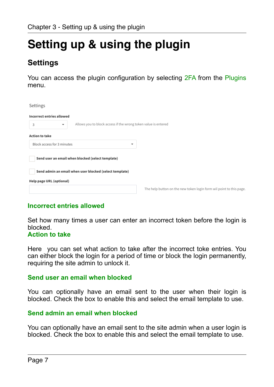# <span id="page-6-0"></span>**Setting up & using the plugin**

# <span id="page-6-1"></span>**Settings**

You can access the plugin configuration by selecting 2FA from the Plugins menu.



#### **Incorrect entries allowed**

Set how many times a user can enter an incorrect token before the login is blocked.

#### **Action to take**

Here you can set what action to take after the incorrect toke entries. You can either block the login for a period of time or block the login permanently, requiring the site admin to unlock it.

#### **Send user an email when blocked**

You can optionally have an email sent to the user when their login is blocked. Check the box to enable this and select the email template to use.

#### **Send admin an email when blocked**

You can optionally have an email sent to the site admin when a user login is blocked. Check the box to enable this and select the email template to use.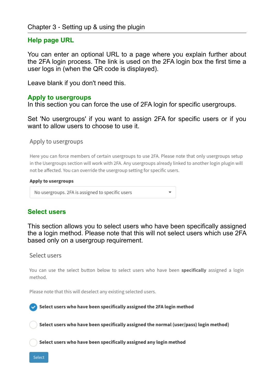#### **Help page URL**

You can enter an optional URL to a page where you explain further about the 2FA login process. The link is used on the 2FA login box the first time a user logs in (when the QR code is displayed).

Leave blank if you don't need this.

#### **Apply to usergroups**

In this section you can force the use of 2FA login for specific usergroups.

Set 'No usergroups' if you want to assign 2FA for specific users or if you want to allow users to choose to use it.

Apply to usergroups

Here you can force members of certain usergroups to use 2FA. Please note that only usergroups setup in the Usergroups section will work with 2FA. Any usergroups already linked to another login plugin will not be affected. You can override the usergroup setting for specific users.

#### Apply to usergroups

No usergroups. 2FA is assigned to specific users

#### **Select users**

This section allows you to select users who have been specifically assigned the a login method. Please note that this will not select users which use 2FA based only on a usergroup requirement.

Select users

You can use the select button below to select users who have been specifically assigned a login method.

Please note that this will deselect any existing selected users.

Select users who have been specifically assigned the 2FA login method

Select users who have been specifically assigned the normal (user/pass) login method)

Select users who have been specifically assigned any login method

Select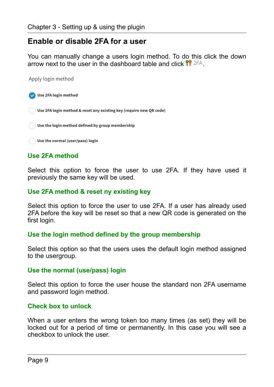### <span id="page-8-0"></span>**Enable or disable 2FA for a user**

You can manually change a users login method. To do this click the down arrow next to the user in the dashboard table and click  $^{\text{PP}}$  2FA.

Apply login method



### **Use 2FA method**

Select this option to force the user to use 2FA. If they have used it previously the same key will be used.

#### **Use 2FA method & reset ny existing key**

Select this option to force the user to use 2FA. If a user has already used 2FA before the key will be reset so that a new QR code is generated on the first login.

#### **Use the login method defined by the group membership**

Select this option so that the users uses the default login method assigned to the usergroup.

#### **Use the normal (use/pass) login**

Select this option to force the user house the standard non 2FA username and password login method.

#### **Check box to unlock**

When a user enters the wrong token too many times (as set) they will be locked out for a period of time or permanently. In this case you will see a checkbox to unlock the user.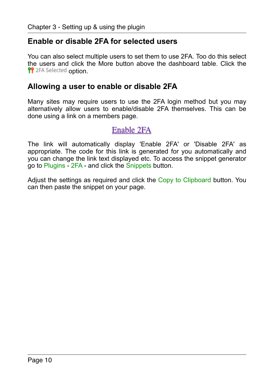### <span id="page-9-0"></span>**Enable or disable 2FA for selected users**

You can also select multiple users to set them to use 2FA. Too do this select the users and click the More button above the dashboard table. Click the **PP** 2FA Selected option.

### <span id="page-9-1"></span>**Allowing a user to enable or disable 2FA**

Many sites may require users to use the 2FA login method but you may alternatively allow users to enable/disable 2FA themselves. This can be done using a link on a members page.

## Enable 2FA

The link will automatically display 'Enable 2FA' or 'Disable 2FA' as appropriate. The code for this link is generated for you automatically and you can change the link text displayed etc. To access the snippet generator go to Plugins - 2FA - and click the Snippets button.

Adjust the settings as required and click the Copy to Clipboard button. You can then paste the snippet on your page.